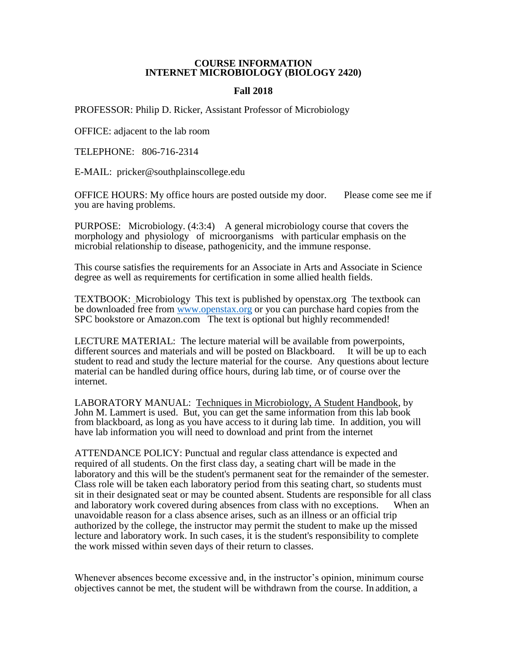## **COURSE INFORMATION INTERNET MICROBIOLOGY (BIOLOGY 2420)**

## **Fall 2018**

PROFESSOR: Philip D. Ricker, Assistant Professor of Microbiology

OFFICE: adjacent to the lab room

TELEPHONE: 806-716-2314

E-MAIL: pricker@southplainscollege.edu

OFFICE HOURS: My office hours are posted outside my door. Please come see me if you are having problems.

PURPOSE: Microbiology. (4:3:4) A general microbiology course that covers the morphology and physiology of microorganisms with particular emphasis on the microbial relationship to disease, pathogenicity, and the immune response.

This course satisfies the requirements for an Associate in Arts and Associate in Science degree as well as requirements for certification in some allied health fields.

TEXTBOOK: Microbiology This text is published by openstax.org The textbook can be downloaded free from [www.openstax.org](http://www.openstax.org/) or you can purchase hard copies from the SPC bookstore or Amazon.com The text is optional but highly recommended!

LECTURE MATERIAL: The lecture material will be available from powerpoints, different sources and materials and will be posted on Blackboard. It will be up to each different sources and materials and will be posted on Blackboard. student to read and study the lecture material for the course. Any questions about lecture material can be handled during office hours, during lab time, or of course over the internet.

LABORATORY MANUAL: Techniques in Microbiology, A Student Handbook, by John M. Lammert is used. But, you can get the same information from this lab book from blackboard, as long as you have access to it during lab time. In addition, you will have lab information you will need to download and print from the internet

ATTENDANCE POLICY: Punctual and regular class attendance is expected and required of all students. On the first class day, a seating chart will be made in the laboratory and this will be the student's permanent seat for the remainder of the semester. Class role will be taken each laboratory period from this seating chart, so students must sit in their designated seat or may be counted absent. Students are responsible for all class and laboratory work covered during absences from class with no exceptions. When an unavoidable reason for a class absence arises, such as an illness or an official trip authorized by the college, the instructor may permit the student to make up the missed lecture and laboratory work. In such cases, it is the student's responsibility to complete the work missed within seven days of their return to classes.

Whenever absences become excessive and, in the instructor's opinion, minimum course objectives cannot be met, the student will be withdrawn from the course. In addition, a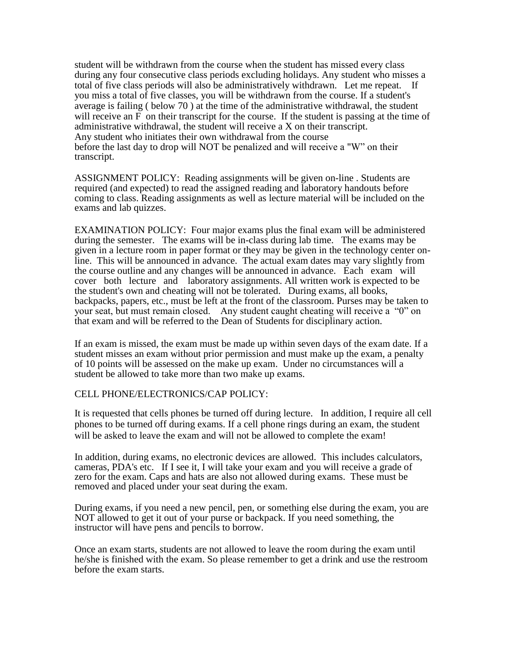student will be withdrawn from the course when the student has missed every class during any four consecutive class periods excluding holidays. Any student who misses a total of five class periods will also be administratively withdrawn. Let me repeat. If you miss a total of five classes, you will be withdrawn from the course. If a student's average is failing ( below 70 ) at the time of the administrative withdrawal, the student will receive an F on their transcript for the course. If the student is passing at the time of administrative withdrawal, the student will receive a X on their transcript. Any student who initiates their own withdrawal from the course before the last day to drop will NOT be penalized and will receive a "W" on their transcript.

ASSIGNMENT POLICY: Reading assignments will be given on-line . Students are required (and expected) to read the assigned reading and laboratory handouts before coming to class. Reading assignments as well as lecture material will be included on the exams and lab quizzes.

EXAMINATION POLICY: Four major exams plus the final exam will be administered during the semester. The exams will be in-class during lab time. The exams may be given in a lecture room in paper format or they may be given in the technology center online. This will be announced in advance. The actual exam dates may vary slightly from the course outline and any changes will be announced in advance. Each exam will cover both lecture and laboratory assignments. All written work is expected to be the student's own and cheating will not be tolerated. During exams, all books, backpacks, papers, etc., must be left at the front of the classroom. Purses may be taken to your seat, but must remain closed. Any student caught cheating will receive a "0" on that exam and will be referred to the Dean of Students for disciplinary action.

If an exam is missed, the exam must be made up within seven days of the exam date. If a student misses an exam without prior permission and must make up the exam, a penalty of 10 points will be assessed on the make up exam. Under no circumstances will a student be allowed to take more than two make up exams.

## CELL PHONE/ELECTRONICS/CAP POLICY:

It is requested that cells phones be turned off during lecture. In addition, I require all cell phones to be turned off during exams. If a cell phone rings during an exam, the student will be asked to leave the exam and will not be allowed to complete the exam!

In addition, during exams, no electronic devices are allowed. This includes calculators, cameras, PDA's etc. If I see it, I will take your exam and you will receive a grade of zero for the exam. Caps and hats are also not allowed during exams. These must be removed and placed under your seat during the exam.

During exams, if you need a new pencil, pen, or something else during the exam, you are NOT allowed to get it out of your purse or backpack. If you need something, the instructor will have pens and pencils to borrow.

Once an exam starts, students are not allowed to leave the room during the exam until he/she is finished with the exam. So please remember to get a drink and use the restroom before the exam starts.